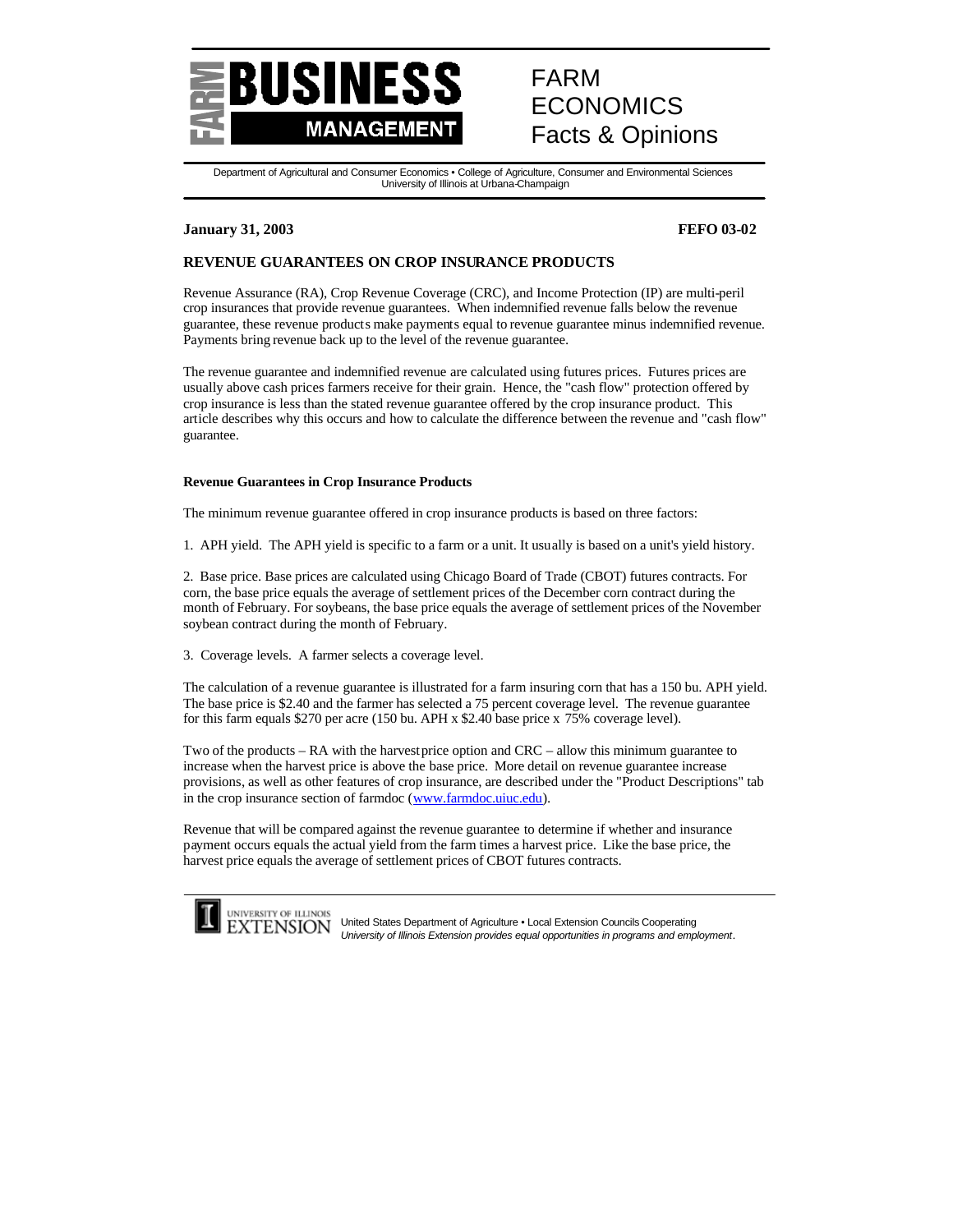

# FARM **ECONOMICS** Facts & Opinions

Department of Agricultural and Consumer Economics • College of Agriculture, Consumer and Environmental Sciences University of Illinois at Urbana-Champaign

## **January 31, 2003 FEFO 03-02**

# **REVENUE GUARANTEES ON CROP INSURANCE PRODUCTS**

Revenue Assurance (RA), Crop Revenue Coverage (CRC), and Income Protection (IP) are multi-peril crop insurances that provide revenue guarantees. When indemnified revenue falls below the revenue guarantee, these revenue products make payments equal to revenue guarantee minus indemnified revenue. Payments bring revenue back up to the level of the revenue guarantee.

The revenue guarantee and indemnified revenue are calculated using futures prices. Futures prices are usually above cash prices farmers receive for their grain. Hence, the "cash flow" protection offered by crop insurance is less than the stated revenue guarantee offered by the crop insurance product. This article describes why this occurs and how to calculate the difference between the revenue and "cash flow" guarantee.

## **Revenue Guarantees in Crop Insurance Products**

The minimum revenue guarantee offered in crop insurance products is based on three factors:

1. APH yield. The APH yield is specific to a farm or a unit. It usually is based on a unit's yield history.

2. Base price. Base prices are calculated using Chicago Board of Trade (CBOT) futures contracts. For corn, the base price equals the average of settlement prices of the December corn contract during the month of February. For soybeans, the base price equals the average of settlement prices of the November soybean contract during the month of February.

3. Coverage levels. A farmer selects a coverage level.

The calculation of a revenue guarantee is illustrated for a farm insuring corn that has a 150 bu. APH yield. The base price is \$2.40 and the farmer has selected a 75 percent coverage level. The revenue guarantee for this farm equals \$270 per acre (150 bu. APH x \$2.40 base price x 75% coverage level).

Two of the products – RA with the harvest price option and CRC – allow this minimum guarantee to increase when the harvest price is above the base price. More detail on revenue guarantee increase provisions, as well as other features of crop insurance, are described under the "Product Descriptions" tab in the crop insurance section of farmdoc (www.farmdoc.uiuc.edu).

Revenue that will be compared against the revenue guarantee to determine if whether and insurance payment occurs equals the actual yield from the farm times a harvest price. Like the base price, the harvest price equals the average of settlement prices of CBOT futures contracts.



UNIVERSITY OF ILLINOIS United States Department of Agriculture • Local Extension Councils Cooperating *University of Illinois Extension provides equal opportunities in programs and employment.*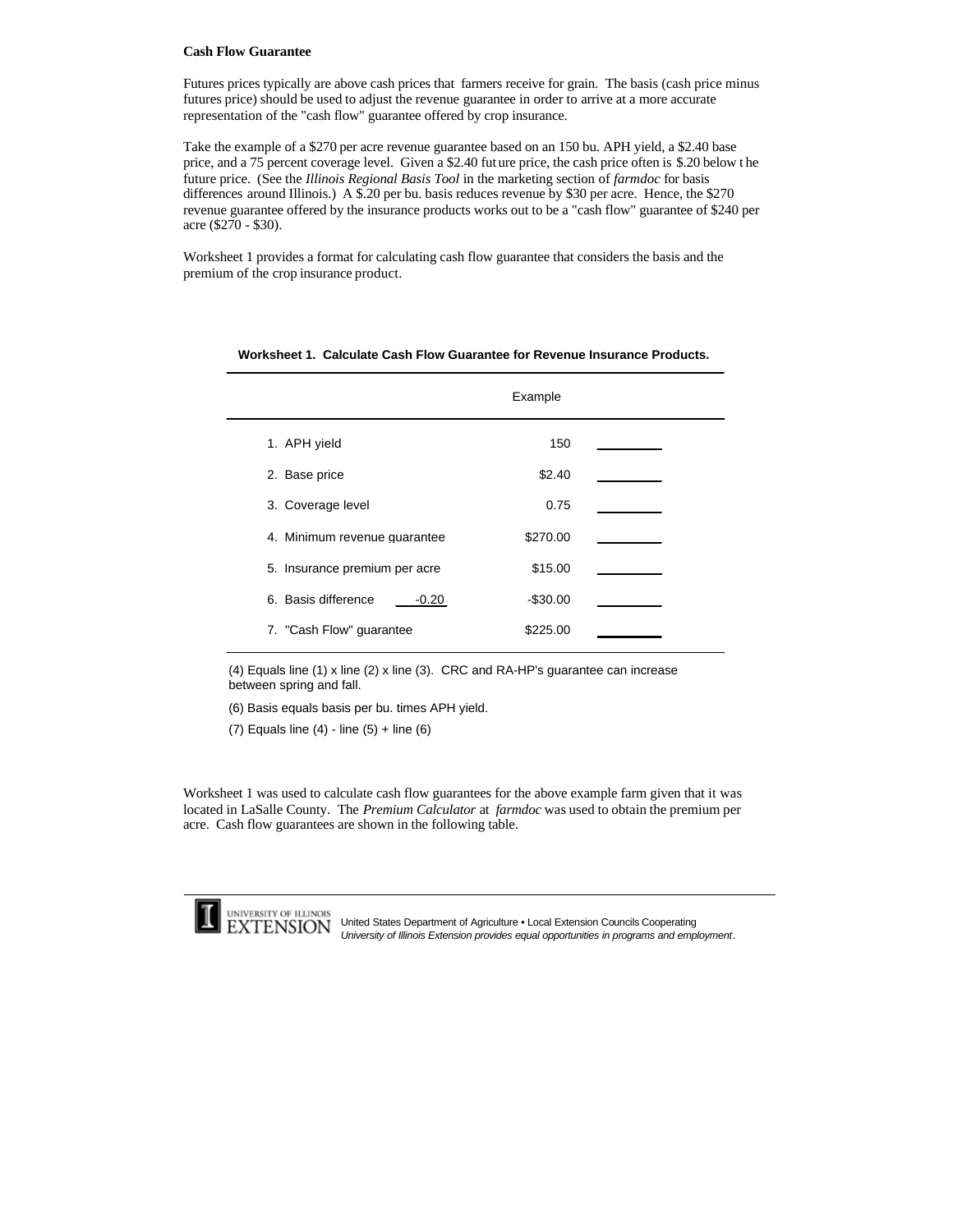#### **Cash Flow Guarantee**

Futures prices typically are above cash prices that farmers receive for grain. The basis (cash price minus futures price) should be used to adjust the revenue guarantee in order to arrive at a more accurate representation of the "cash flow" guarantee offered by crop insurance.

Take the example of a \$270 per acre revenue guarantee based on an 150 bu. APH yield, a \$2.40 base price, and a 75 percent coverage level. Given a \$2.40 fut ure price, the cash price often is \$.20 below t he future price. (See the *Illinois Regional Basis Tool* in the marketing section of *farmdoc* for basis differences around Illinois.) A \$.20 per bu. basis reduces revenue by \$30 per acre. Hence, the \$270 revenue guarantee offered by the insurance products works out to be a "cash flow" guarantee of \$240 per acre (\$270 - \$30).

Worksheet 1 provides a format for calculating cash flow guarantee that considers the basis and the premium of the crop insurance product.

|                               | Example   |  |
|-------------------------------|-----------|--|
| 1. APH yield                  | 150       |  |
| 2. Base price                 | \$2.40    |  |
| 3. Coverage level             | 0.75      |  |
| 4. Minimum revenue quarantee  | \$270.00  |  |
| 5. Insurance premium per acre | \$15.00   |  |
| 6. Basis difference<br>-0.20  | $-$30.00$ |  |
| 7. "Cash Flow" guarantee      | \$225.00  |  |

#### **Worksheet 1. Calculate Cash Flow Guarantee for Revenue Insurance Products.**

(4) Equals line (1) x line (2) x line (3). CRC and RA-HP's guarantee can increase between spring and fall.

(6) Basis equals basis per bu. times APH yield.

(7) Equals line (4) - line (5) + line (6)

Worksheet 1 was used to calculate cash flow guarantees for the above example farm given that it was located in LaSalle County. The *Premium Calculator* at *farmdoc* was used to obtain the premium per acre. Cash flow guarantees are shown in the following table.



UNIVERSITY OF ILLINOIS<br>
EXTENSION United States Department of Agriculture • Local Extension Councils Cooperating *University of Illinois Extension provides equal opportunities in programs and employment.*